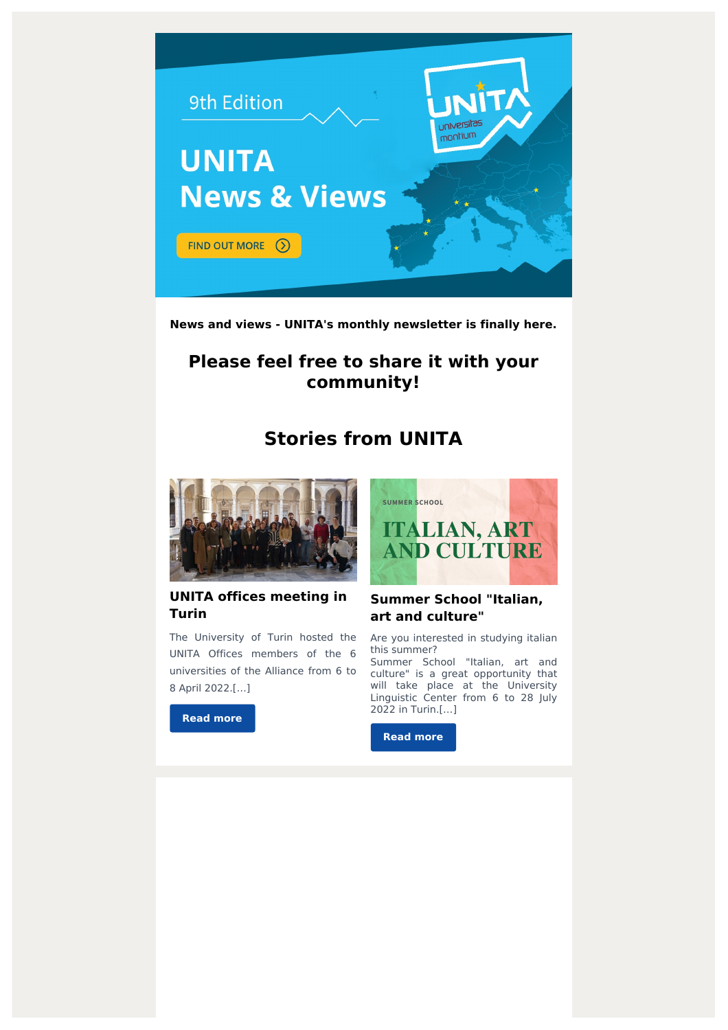

**News and views - UNITA's monthly newsletter is finally here.**

# **Please feel free to share it with your community!**

# **Stories from UNITA**



### **UNITA offices meeting in Turin**

The University of Turin hosted the UNITA Offices members of the 6 universities of the Alliance from 6 to 8 April 2022.[…]

**Read [more](https://www.ubi.pt/Sites/unita/en/Noticia/960)**



## **Summer School "Italian, art and culture"**

Are you interested in studying italian this summer?

Summer School "Italian, art and culture" is a great opportunity that will take place at the University Linguistic Center from 6 to 28 July 2022 in Turin.[…]

**Read [more](https://www.ubi.pt/Sites/unita/en/evento/1093)**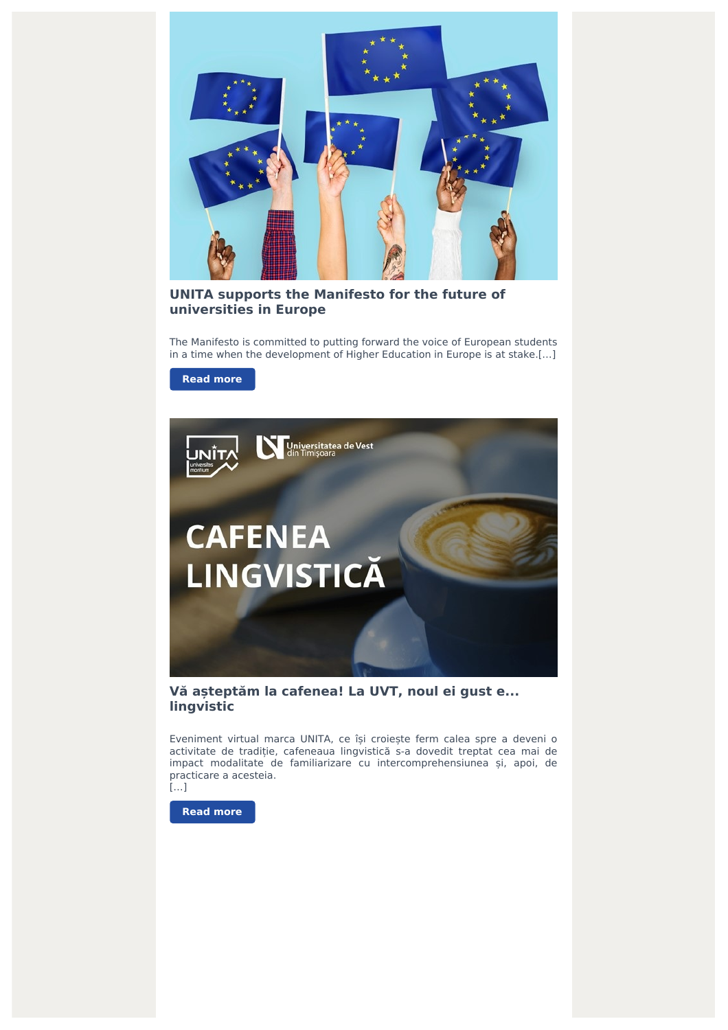

### **UNITA supports the Manifesto for the future of universities in Europe**

The Manifesto is committed to putting forward the voice of European students in a time when the development of Higher Education in Europe is at stake.[…]

#### **Read [more](https://www.ubi.pt/Sites/unita/en/Noticia/970)**



**Vă așteptăm la cafenea! La UVT, noul ei gust e... lingvistic**

Eveniment virtual marca UNITA, ce își croiește ferm calea spre a deveni o activitate de tradiție, cafeneaua lingvistică s-a dovedit treptat cea mai de impact modalitate de familiarizare cu intercomprehensiunea și, apoi, de practicare a acesteia.



**Read [more](https://www.ubi.pt/Sites/unita/en/Evento/1096)**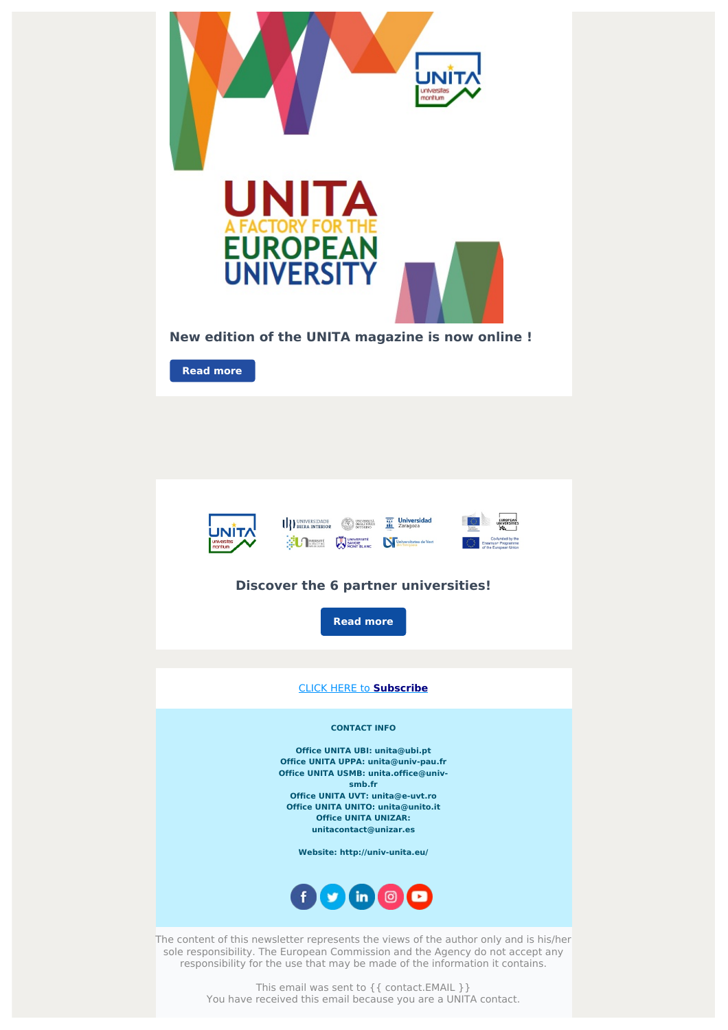



sole responsibility. The European Commission and the Agency do not accept any responsibility for the use that may be made of the information it contains.

> This email was sent to { { contact.EMAIL } } You have received this email because you are a UNITA contact.